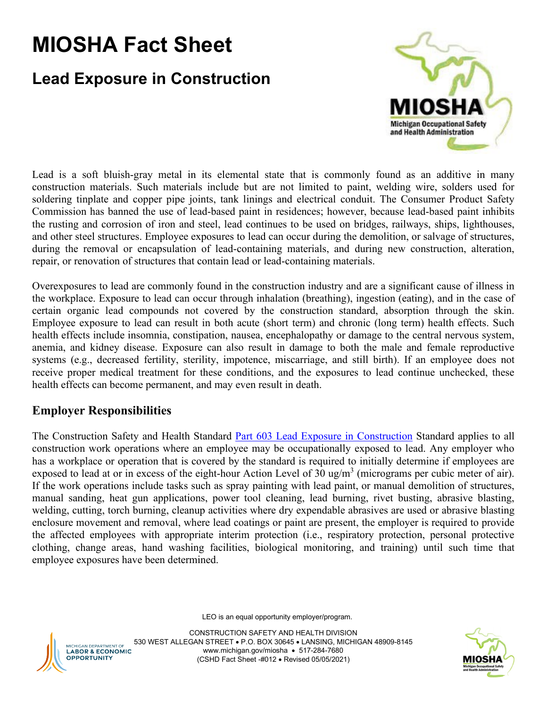## **MIOSHA Fact Sheet**

## **Lead Exposure in Construction**



Lead is a soft bluish-gray metal in its elemental state that is commonly found as an additive in many construction materials. Such materials include but are not limited to paint, welding wire, solders used for soldering tinplate and copper pipe joints, tank linings and electrical conduit. The Consumer Product Safety Commission has banned the use of lead-based paint in residences; however, because lead-based paint inhibits the rusting and corrosion of iron and steel, lead continues to be used on bridges, railways, ships, lighthouses, and other steel structures. Employee exposures to lead can occur during the demolition, or salvage of structures, during the removal or encapsulation of lead-containing materials, and during new construction, alteration, repair, or renovation of structures that contain lead or lead-containing materials.

Overexposures to lead are commonly found in the construction industry and are a significant cause of illness in the workplace. Exposure to lead can occur through inhalation (breathing), ingestion (eating), and in the case of certain organic lead compounds not covered by the construction standard, absorption through the skin. Employee exposure to lead can result in both acute (short term) and chronic (long term) health effects. Such health effects include insomnia, constipation, nausea, encephalopathy or damage to the central nervous system, anemia, and kidney disease. Exposure can also result in damage to both the male and female reproductive systems (e.g., decreased fertility, sterility, impotence, miscarriage, and still birth). If an employee does not receive proper medical treatment for these conditions, and the exposures to lead continue unchecked, these health effects can become permanent, and may even result in death.

## **Employer Responsibilities**

The Construction Safety and Health Standard [Part 603 Lead Exposure in Construction](https://www.michigan.gov/documents/leo/leo_miosha_part603_665496_7.pdf) Standard applies to all construction work operations where an employee may be occupationally exposed to lead. Any employer who has a workplace or operation that is covered by the standard is required to initially determine if employees are exposed to lead at or in excess of the eight-hour Action Level of 30 ug/m<sup>3</sup> (micrograms per cubic meter of air). If the work operations include tasks such as spray painting with lead paint, or manual demolition of structures, manual sanding, heat gun applications, power tool cleaning, lead burning, rivet busting, abrasive blasting, welding, cutting, torch burning, cleanup activities where dry expendable abrasives are used or abrasive blasting enclosure movement and removal, where lead coatings or paint are present, the employer is required to provide the affected employees with appropriate interim protection (i.e., respiratory protection, personal protective clothing, change areas, hand washing facilities, biological monitoring, and training) until such time that employee exposures have been determined.

LEO is an equal opportunity employer/program.



CONSTRUCTION SAFETY AND HEALTH DIVISION 530 WEST ALLEGAN STREET • P.O. BOX 30645 • LANSING, MICHIGAN 48909-8145 www.michigan.gov/miosha • 517-284-7680 (CSHD Fact Sheet -#012 • Revised 05/05/2021)